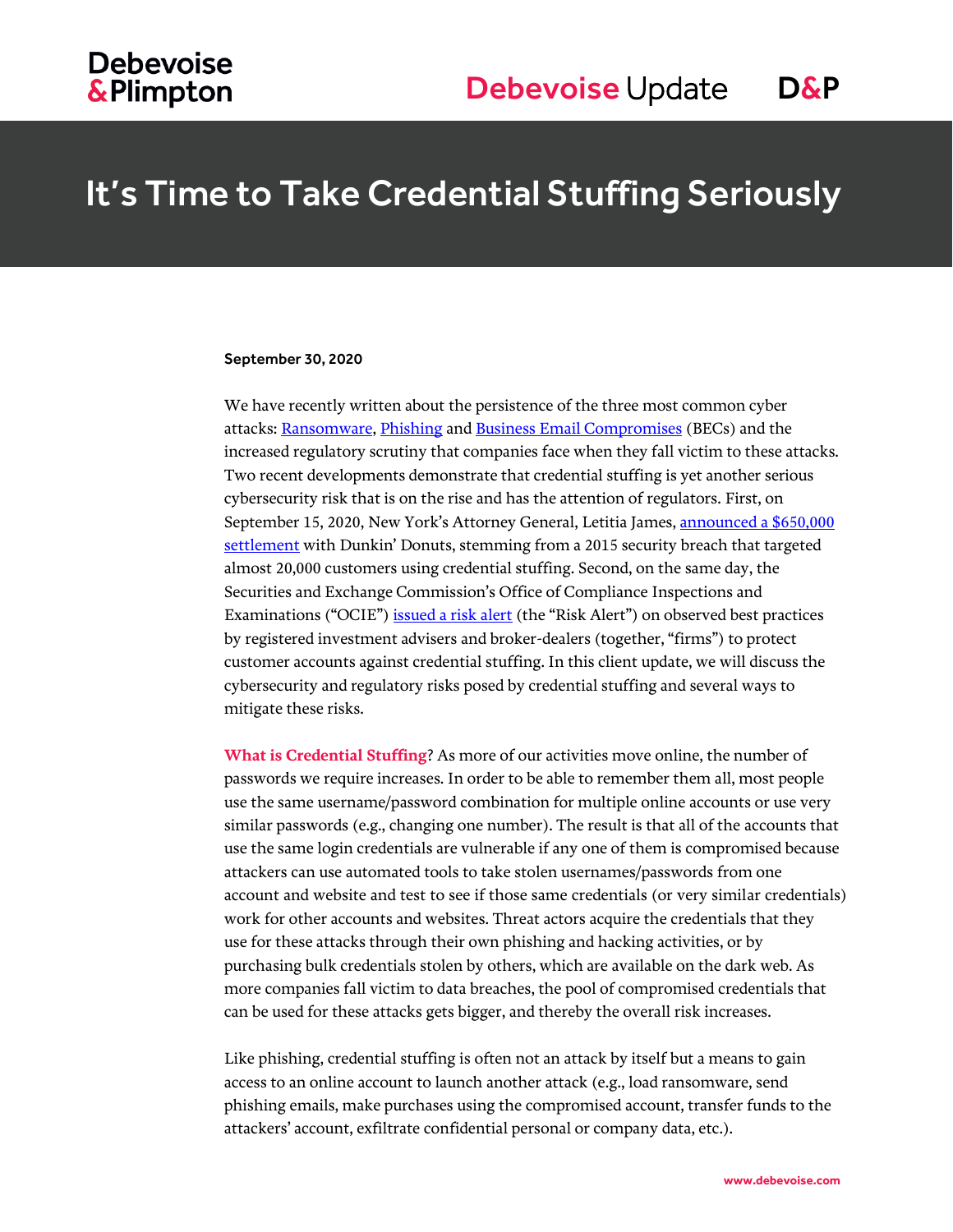# It's Time to Take Credential Stuffing Seriously

#### September 30, 2020

We have recently written about the persistence of the three most common cyber attacks[: Ransomware,](https://www.debevoisedatablog.com/2020/06/18/preparing-for-and-responding-to-ransomware-attacks-thirteen-lessons-from-the-nist-framework-and-recent-events/) [Phishing](https://www.debevoisedatablog.com/2020/06/25/phishing-testing-for-employees-what-to-do-with-those-who-fail/) an[d Business Email Compromises](https://www.debevoisedatablog.com/2020/06/11/fbi-warns-of-a-rise-in-business-email-compromise-scams-tips-for-preventing-and-responding-to-becs-in-remote-work-environments/) (BECs) and the increased regulatory scrutiny that companies face when they fall victim to these attacks. Two recent developments demonstrate that credential stuffing is yet another serious cybersecurity risk that is on the rise and has the attention of regulators. First, on September 15, 2020, New York's Attorney General, Letitia James, announced a \$650,000 [settlement](https://ag.ny.gov/press-release/2019/ag-james-sues-dunkin-donuts-glazing-over-cyberattacks-targeting-thousands) with Dunkin' Donuts, stemming from a 2015 security breach that targeted almost 20,000 customers using credential stuffing. Second, on the same day, the Securities and Exchange Commission's Office of Compliance Inspections and Examinations ("OCIE"[\) issued a risk alert](https://www.sec.gov/files/Risk%20Alert%20-%20Credential%20Compromise.pdf) (the "Risk Alert") on observed best practices by registered investment advisers and broker-dealers (together, "firms") to protect customer accounts against credential stuffing. In this client update, we will discuss the cybersecurity and regulatory risks posed by credential stuffing and several ways to mitigate these risks.

**What is Credential Stuffing**? As more of our activities move online, the number of passwords we require increases. In order to be able to remember them all, most people use the same username/password combination for multiple online accounts or use very similar passwords (e.g., changing one number). The result is that all of the accounts that use the same login credentials are vulnerable if any one of them is compromised because attackers can use automated tools to take stolen usernames/passwords from one account and website and test to see if those same credentials (or very similar credentials) work for other accounts and websites. Threat actors acquire the credentials that they use for these attacks through their own phishing and hacking activities, or by purchasing bulk credentials stolen by others, which are available on the dark web. As more companies fall victim to data breaches, the pool of compromised credentials that can be used for these attacks gets bigger, and thereby the overall risk increases.

Like phishing, credential stuffing is often not an attack by itself but a means to gain access to an online account to launch another attack (e.g., load ransomware, send phishing emails, make purchases using the compromised account, transfer funds to the attackers' account, exfiltrate confidential personal or company data, etc.).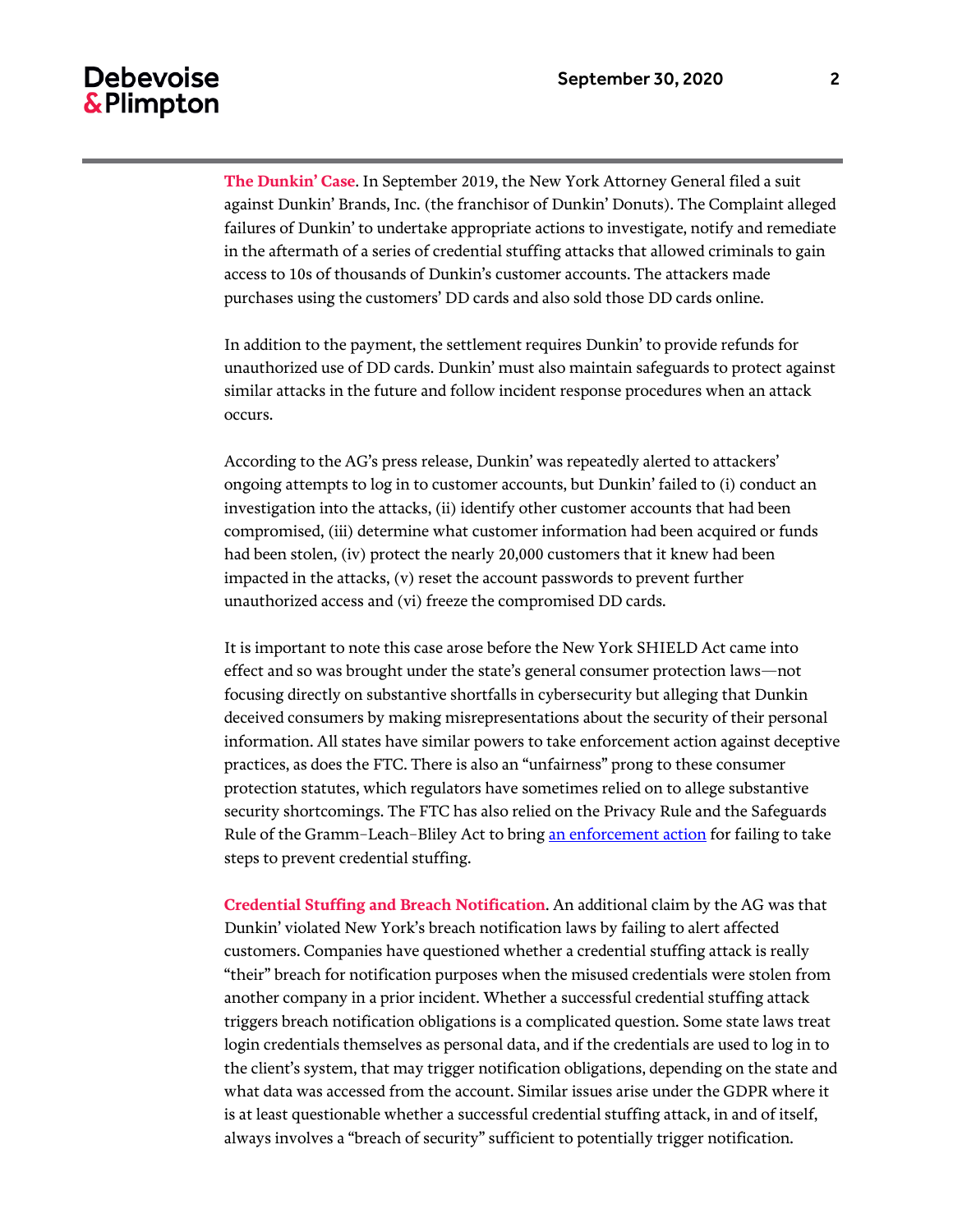### **Debevoise** & Plimpton

**The Dunkin' Case**. In September 2019, the New York Attorney General filed a suit against Dunkin' Brands, Inc. (the franchisor of Dunkin' Donuts). The Complaint alleged failures of Dunkin' to undertake appropriate actions to investigate, notify and remediate in the aftermath of a series of credential stuffing attacks that allowed criminals to gain access to 10s of thousands of Dunkin's customer accounts. The attackers made purchases using the customers' DD cards and also sold those DD cards online.

In addition to the payment, the settlement requires Dunkin' to provide refunds for unauthorized use of DD cards. Dunkin' must also maintain safeguards to protect against similar attacks in the future and follow incident response procedures when an attack occurs.

According to the AG's press release, Dunkin' was repeatedly alerted to attackers' ongoing attempts to log in to customer accounts, but Dunkin' failed to (i) conduct an investigation into the attacks, (ii) identify other customer accounts that had been compromised, (iii) determine what customer information had been acquired or funds had been stolen, (iv) protect the nearly 20,000 customers that it knew had been impacted in the attacks, (v) reset the account passwords to prevent further unauthorized access and (vi) freeze the compromised DD cards.

It is important to note this case arose before the New York SHIELD Act came into effect and so was brought under the state's general consumer protection laws—not focusing directly on substantive shortfalls in cybersecurity but alleging that Dunkin deceived consumers by making misrepresentations about the security of their personal information. All states have similar powers to take enforcement action against deceptive practices, as does the FTC. There is also an "unfairness" prong to these consumer protection statutes, which regulators have sometimes relied on to allege substantive security shortcomings. The FTC has also relied on the Privacy Rule and the Safeguards Rule of the Gramm–Leach–Bliley Act to brin[g an enforcement action](https://news.bloomberglaw.com/tech-and-telecom-law/cybersecurity-enforcers-wake-up-to-unauthorized-computer-access-via-credential-stuffing) for failing to take steps to prevent credential stuffing.

**Credential Stuffing and Breach Notification**. An additional claim by the AG was that Dunkin' violated New York's breach notification laws by failing to alert affected customers. Companies have questioned whether a credential stuffing attack is really "their" breach for notification purposes when the misused credentials were stolen from another company in a prior incident. Whether a successful credential stuffing attack triggers breach notification obligations is a complicated question. Some state laws treat login credentials themselves as personal data, and if the credentials are used to log in to the client's system, that may trigger notification obligations, depending on the state and what data was accessed from the account. Similar issues arise under the GDPR where it is at least questionable whether a successful credential stuffing attack, in and of itself, always involves a "breach of security" sufficient to potentially trigger notification.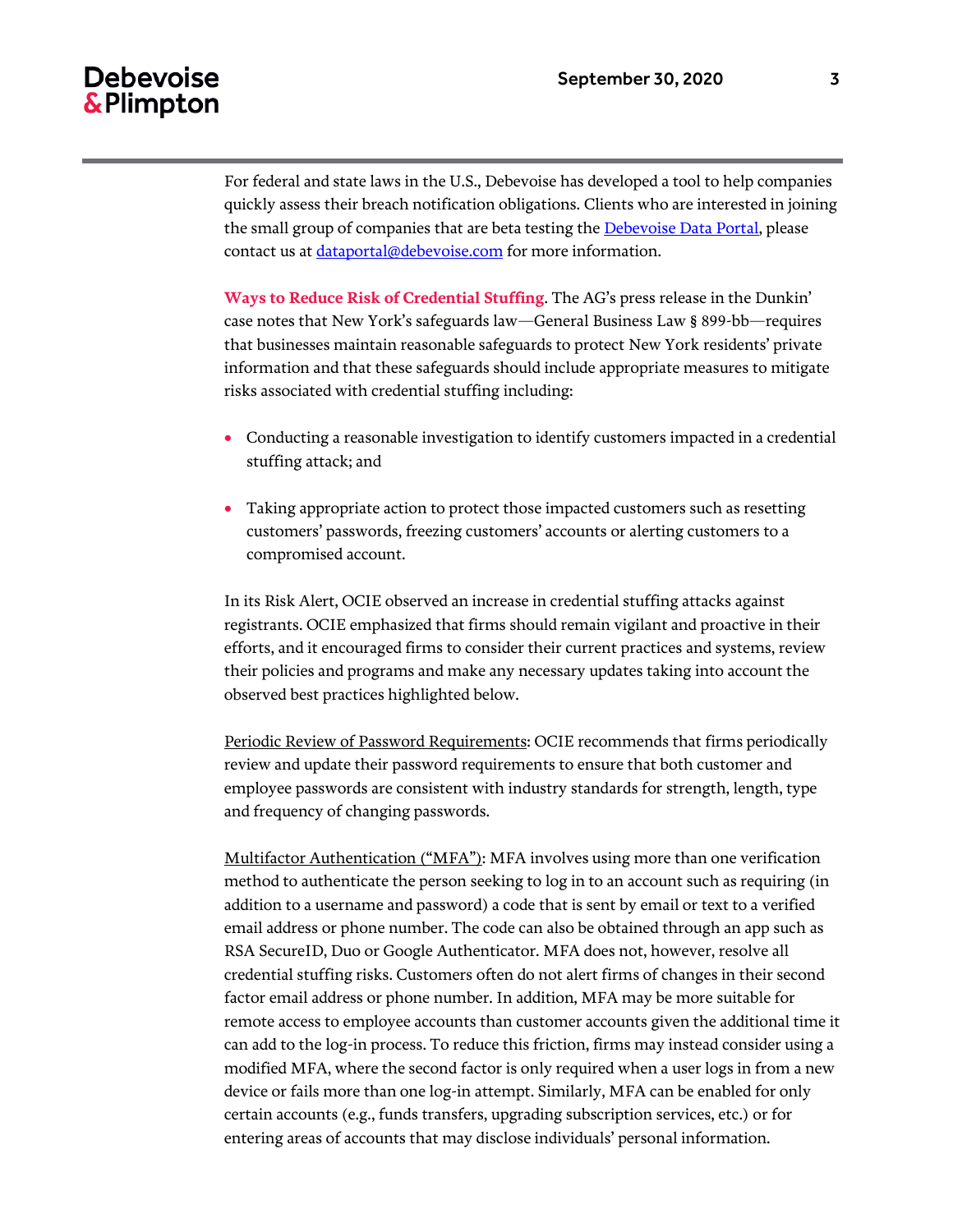# **Debevoise** & Plimpton

For federal and state laws in the U.S., Debevoise has developed a tool to help companies quickly assess their breach notification obligations. Clients who are interested in joining the small group of companies that are beta testing the [Debevoise Data Portal,](https://www.debevoisedataportal.com/) please contact us at [dataportal@debevoise.com](mailto:dataportal@debevoise.com) for more information.

**Ways to Reduce Risk of Credential Stuffing**. The AG's press release in the Dunkin' case notes that New York's safeguards law—General Business Law § 899-bb—requires that businesses maintain reasonable safeguards to protect New York residents' private information and that these safeguards should include appropriate measures to mitigate risks associated with credential stuffing including:

- Conducting a reasonable investigation to identify customers impacted in a credential stuffing attack; and
- Taking appropriate action to protect those impacted customers such as resetting customers' passwords, freezing customers' accounts or alerting customers to a compromised account.

In its Risk Alert, OCIE observed an increase in credential stuffing attacks against registrants. OCIE emphasized that firms should remain vigilant and proactive in their efforts, and it encouraged firms to consider their current practices and systems, review their policies and programs and make any necessary updates taking into account the observed best practices highlighted below.

Periodic Review of Password Requirements: OCIE recommends that firms periodically review and update their password requirements to ensure that both customer and employee passwords are consistent with industry standards for strength, length, type and frequency of changing passwords.

Multifactor Authentication ("MFA"): MFA involves using more than one verification method to authenticate the person seeking to log in to an account such as requiring (in addition to a username and password) a code that is sent by email or text to a verified email address or phone number. The code can also be obtained through an app such as RSA SecureID, Duo or Google Authenticator. MFA does not, however, resolve all credential stuffing risks. Customers often do not alert firms of changes in their second factor email address or phone number. In addition, MFA may be more suitable for remote access to employee accounts than customer accounts given the additional time it can add to the log-in process. To reduce this friction, firms may instead consider using a modified MFA, where the second factor is only required when a user logs in from a new device or fails more than one log-in attempt. Similarly, MFA can be enabled for only certain accounts (e.g., funds transfers, upgrading subscription services, etc.) or for entering areas of accounts that may disclose individuals' personal information.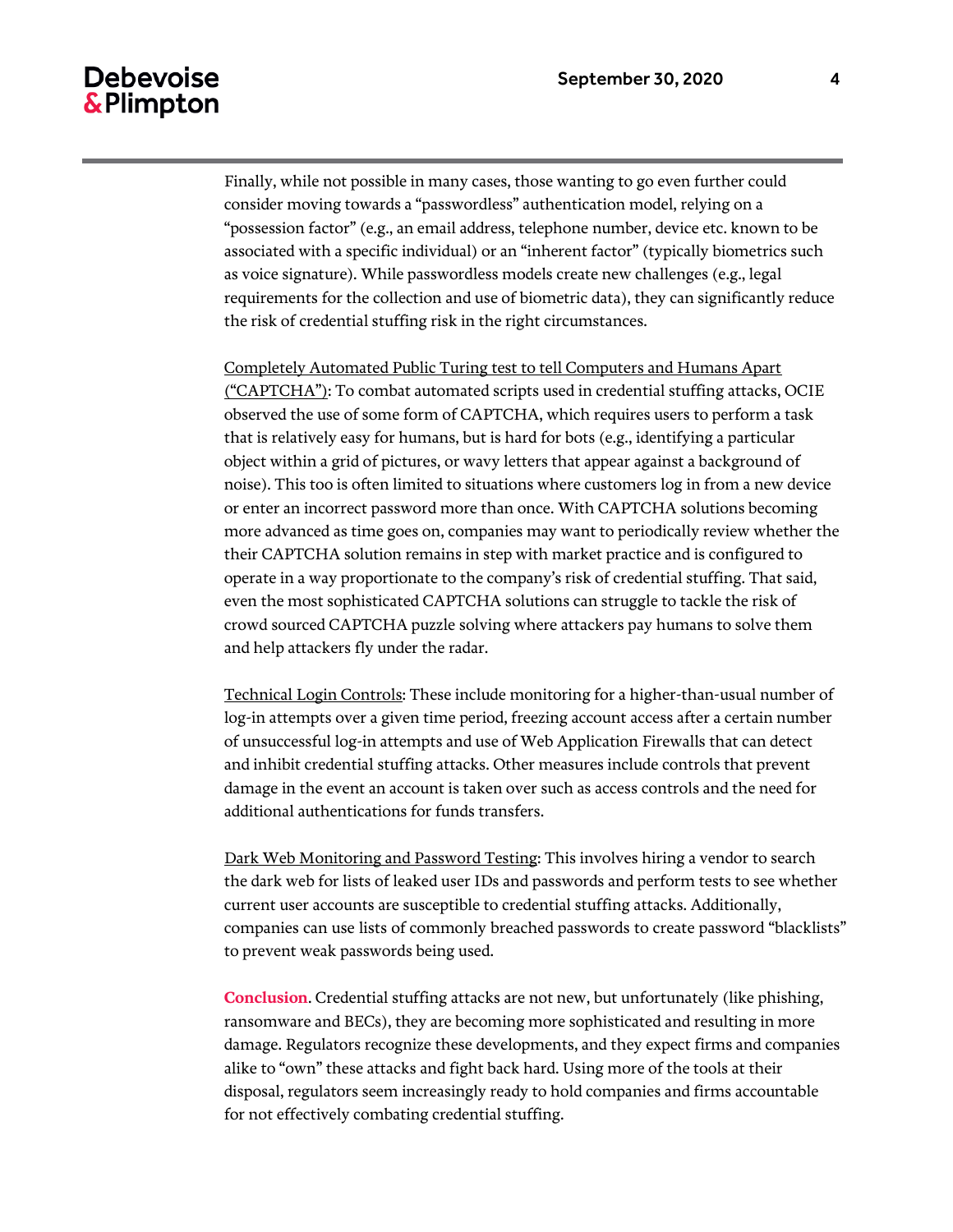# **Debevoise** & Plimpton

Finally, while not possible in many cases, those wanting to go even further could consider moving towards a "passwordless" authentication model, relying on a "possession factor" (e.g., an email address, telephone number, device etc. known to be associated with a specific individual) or an "inherent factor" (typically biometrics such as voice signature). While passwordless models create new challenges (e.g., legal requirements for the collection and use of biometric data), they can significantly reduce the risk of credential stuffing risk in the right circumstances.

Completely Automated Public Turing test to tell Computers and Humans Apart ("CAPTCHA"): To combat automated scripts used in credential stuffing attacks, OCIE observed the use of some form of CAPTCHA, which requires users to perform a task that is relatively easy for humans, but is hard for bots (e.g., identifying a particular object within a grid of pictures, or wavy letters that appear against a background of noise). This too is often limited to situations where customers log in from a new device or enter an incorrect password more than once. With CAPTCHA solutions becoming more advanced as time goes on, companies may want to periodically review whether the their CAPTCHA solution remains in step with market practice and is configured to operate in a way proportionate to the company's risk of credential stuffing. That said, even the most sophisticated CAPTCHA solutions can struggle to tackle the risk of crowd sourced CAPTCHA puzzle solving where attackers pay humans to solve them and help attackers fly under the radar.

Technical Login Controls: These include monitoring for a higher-than-usual number of log-in attempts over a given time period, freezing account access after a certain number of unsuccessful log-in attempts and use of Web Application Firewalls that can detect and inhibit credential stuffing attacks. Other measures include controls that prevent damage in the event an account is taken over such as access controls and the need for additional authentications for funds transfers.

Dark Web Monitoring and Password Testing: This involves hiring a vendor to search the dark web for lists of leaked user IDs and passwords and perform tests to see whether current user accounts are susceptible to credential stuffing attacks. Additionally, companies can use lists of commonly breached passwords to create password "blacklists" to prevent weak passwords being used.

**Conclusion**. Credential stuffing attacks are not new, but unfortunately (like phishing, ransomware and BECs), they are becoming more sophisticated and resulting in more damage. Regulators recognize these developments, and they expect firms and companies alike to "own" these attacks and fight back hard. Using more of the tools at their disposal, regulators seem increasingly ready to hold companies and firms accountable for not effectively combating credential stuffing.